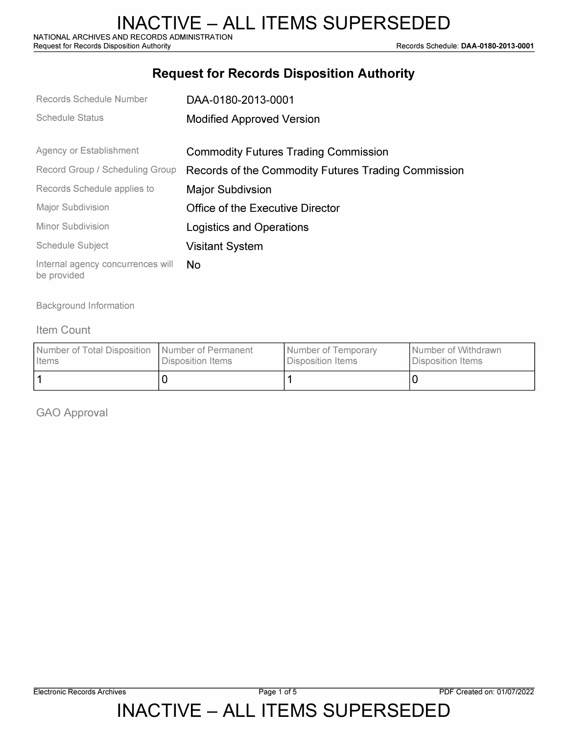## **Request for Records Disposition Authority**

| Records Schedule Number                          | DAA-0180-2013-0001                                  |  |  |
|--------------------------------------------------|-----------------------------------------------------|--|--|
| Schedule Status                                  | <b>Modified Approved Version</b>                    |  |  |
|                                                  |                                                     |  |  |
| Agency or Establishment                          | <b>Commodity Futures Trading Commission</b>         |  |  |
| Record Group / Scheduling Group                  | Records of the Commodity Futures Trading Commission |  |  |
| Records Schedule applies to                      | <b>Major Subdivsion</b>                             |  |  |
| <b>Major Subdivision</b>                         | Office of the Executive Director                    |  |  |
| Minor Subdivision                                | Logistics and Operations                            |  |  |
| Schedule Subject                                 | <b>Visitant System</b>                              |  |  |
| Internal agency concurrences will<br>be provided | No.                                                 |  |  |

Background Information

#### Item Count

| Number of Total Disposition   Number of Permanent | Disposition Items | Number of Temporary | I Number of Withdrawn |
|---------------------------------------------------|-------------------|---------------------|-----------------------|
| I Items                                           |                   | Disposition Items   | Disposition Items     |
|                                                   |                   |                     |                       |

GAO Approval

INACTIVE – ALL ITEMS SUPERSEDED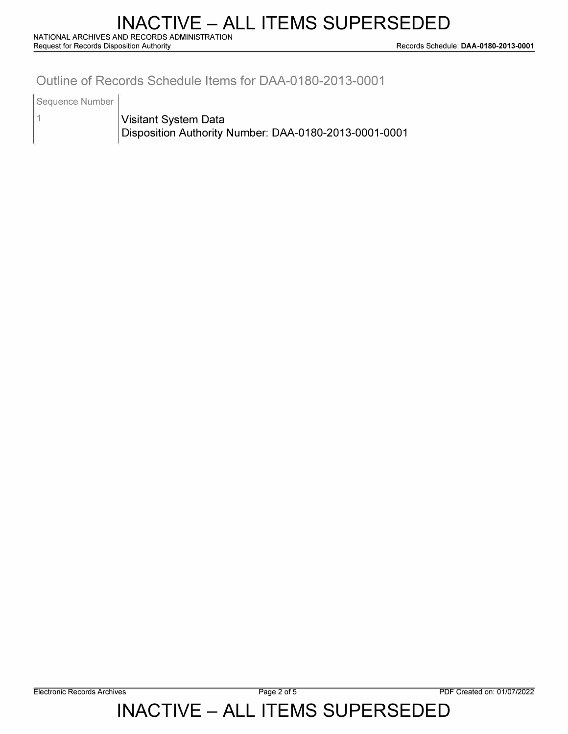### **Outline of Records Schedule Items for DAA-0180-2013-0001**

Sequence Number

1

**Visitant System Data Disposition Authority Number: DAA-0180-2013-0001-0001** 

# INACTIVE – ALL ITEMS SUPERSEDED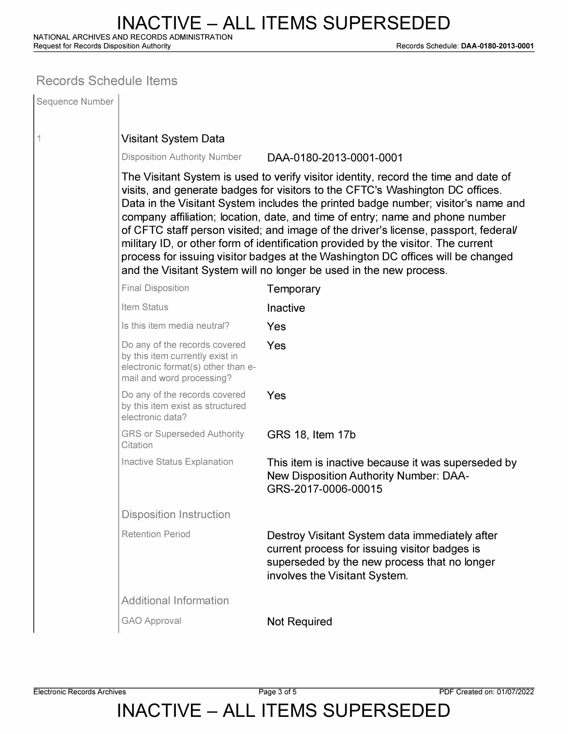**Request for Records Disposition Authority Records Schedule: DAA-0180-2013-0001** 

### **Records Schedule Items**

| Sequence Number |                                                                                                                                                                                                                                                                                                                                                                                                                                                                                                                                                                                                                                                                                |                                                                                                                                                                                  |  |  |  |
|-----------------|--------------------------------------------------------------------------------------------------------------------------------------------------------------------------------------------------------------------------------------------------------------------------------------------------------------------------------------------------------------------------------------------------------------------------------------------------------------------------------------------------------------------------------------------------------------------------------------------------------------------------------------------------------------------------------|----------------------------------------------------------------------------------------------------------------------------------------------------------------------------------|--|--|--|
| 1               | <b>Visitant System Data</b>                                                                                                                                                                                                                                                                                                                                                                                                                                                                                                                                                                                                                                                    |                                                                                                                                                                                  |  |  |  |
|                 | <b>Disposition Authority Number</b>                                                                                                                                                                                                                                                                                                                                                                                                                                                                                                                                                                                                                                            | DAA-0180-2013-0001-0001                                                                                                                                                          |  |  |  |
|                 | The Visitant System is used to verify visitor identity, record the time and date of<br>visits, and generate badges for visitors to the CFTC's Washington DC offices.<br>Data in the Visitant System includes the printed badge number; visitor's name and<br>company affiliation; location, date, and time of entry; name and phone number<br>of CFTC staff person visited; and image of the driver's license, passport, federal<br>military ID, or other form of identification provided by the visitor. The current<br>process for issuing visitor badges at the Washington DC offices will be changed<br>and the Visitant System will no longer be used in the new process. |                                                                                                                                                                                  |  |  |  |
|                 | <b>Final Disposition</b>                                                                                                                                                                                                                                                                                                                                                                                                                                                                                                                                                                                                                                                       | Temporary                                                                                                                                                                        |  |  |  |
|                 | Item Status                                                                                                                                                                                                                                                                                                                                                                                                                                                                                                                                                                                                                                                                    | Inactive                                                                                                                                                                         |  |  |  |
|                 | Is this item media neutral?                                                                                                                                                                                                                                                                                                                                                                                                                                                                                                                                                                                                                                                    | Yes                                                                                                                                                                              |  |  |  |
|                 | Do any of the records covered<br>by this item currently exist in<br>electronic format(s) other than e-<br>mail and word processing?                                                                                                                                                                                                                                                                                                                                                                                                                                                                                                                                            | Yes                                                                                                                                                                              |  |  |  |
|                 | Do any of the records covered<br>by this item exist as structured<br>electronic data?                                                                                                                                                                                                                                                                                                                                                                                                                                                                                                                                                                                          | Yes                                                                                                                                                                              |  |  |  |
|                 | <b>GRS or Superseded Authority</b><br>Citation                                                                                                                                                                                                                                                                                                                                                                                                                                                                                                                                                                                                                                 | GRS 18, Item 17b                                                                                                                                                                 |  |  |  |
|                 | Inactive Status Explanation                                                                                                                                                                                                                                                                                                                                                                                                                                                                                                                                                                                                                                                    | This item is inactive because it was superseded by<br><b>New Disposition Authority Number: DAA-</b><br>GRS-2017-0006-00015                                                       |  |  |  |
|                 | <b>Disposition Instruction</b>                                                                                                                                                                                                                                                                                                                                                                                                                                                                                                                                                                                                                                                 |                                                                                                                                                                                  |  |  |  |
|                 | <b>Retention Period</b>                                                                                                                                                                                                                                                                                                                                                                                                                                                                                                                                                                                                                                                        | Destroy Visitant System data immediately after<br>current process for issuing visitor badges is<br>superseded by the new process that no longer<br>involves the Visitant System. |  |  |  |
|                 | <b>Additional Information</b>                                                                                                                                                                                                                                                                                                                                                                                                                                                                                                                                                                                                                                                  |                                                                                                                                                                                  |  |  |  |
|                 | <b>GAO Approval</b>                                                                                                                                                                                                                                                                                                                                                                                                                                                                                                                                                                                                                                                            | <b>Not Required</b>                                                                                                                                                              |  |  |  |